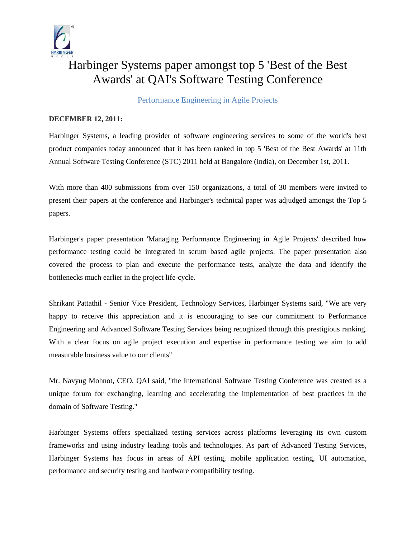

## Harbinger Systems paper amongst top 5 'Best of the Best Awards' at QAI's Software Testing Conference

Performance Engineering in Agile Projects

## **DECEMBER 12, 2011:**

Harbinger Systems, a leading provider of software engineering services to some of the world's best product companies today announced that it has been ranked in top 5 'Best of the Best Awards' at 11th Annual Software Testing Conference (STC) 2011 held at Bangalore (India), on December 1st, 2011.

With more than 400 submissions from over 150 organizations, a total of 30 members were invited to present their papers at the conference and Harbinger's technical paper was adjudged amongst the Top 5 papers.

Harbinger's paper presentation 'Managing Performance Engineering in Agile Projects' described how performance testing could be integrated in scrum based agile projects. The paper presentation also covered the process to plan and execute the performance tests, analyze the data and identify the bottlenecks much earlier in the project life-cycle.

Shrikant Pattathil - Senior Vice President, Technology Services, Harbinger Systems said, "We are very happy to receive this appreciation and it is encouraging to see our commitment to Performance Engineering and Advanced Software Testing Services being recognized through this prestigious ranking. With a clear focus on agile project execution and expertise in performance testing we aim to add measurable business value to our clients"

Mr. Navyug Mohnot, CEO, QAI said, "the International Software Testing Conference was created as a unique forum for exchanging, learning and accelerating the implementation of best practices in the domain of Software Testing."

Harbinger Systems offers specialized testing services across platforms leveraging its own custom frameworks and using industry leading tools and technologies. As part of Advanced Testing Services, Harbinger Systems has focus in areas of API testing, mobile application testing, UI automation, performance and security testing and hardware compatibility testing.